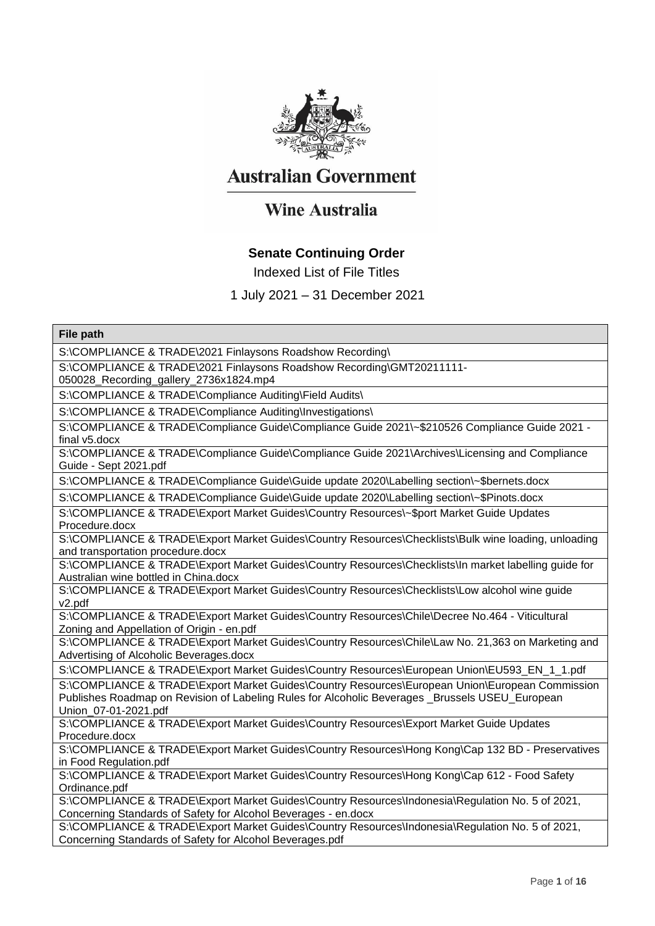

## **Australian Government**

# **Wine Australia**

### **Senate Continuing Order**

Indexed List of File Titles

### 1 July 2021 – 31 December 2021

#### **File path**

S:\COMPLIANCE & TRADE\2021 Finlaysons Roadshow Recording\

S:\COMPLIANCE & TRADE\2021 Finlaysons Roadshow Recording\GMT20211111-

050028\_Recording\_gallery\_2736x1824.mp4

S:\COMPLIANCE & TRADE\Compliance Auditing\Field Audits\

S:\COMPLIANCE & TRADE\Compliance Auditing\Investigations\

S:\COMPLIANCE & TRADE\Compliance Guide\Compliance Guide 2021\~\$210526 Compliance Guide 2021 final v5.docx

S:\COMPLIANCE & TRADE\Compliance Guide\Compliance Guide 2021\Archives\Licensing and Compliance Guide - Sept 2021.pdf

S:\COMPLIANCE & TRADE\Compliance Guide\Guide update 2020\Labelling section\~\$bernets.docx

S:\COMPLIANCE & TRADE\Compliance Guide\Guide update 2020\Labelling section\~\$Pinots.docx

S:\COMPLIANCE & TRADE\Export Market Guides\Country Resources\~\$port Market Guide Updates Procedure.docx

S:\COMPLIANCE & TRADE\Export Market Guides\Country Resources\Checklists\Bulk wine loading, unloading and transportation procedure.docx

S:\COMPLIANCE & TRADE\Export Market Guides\Country Resources\Checklists\In market labelling guide for Australian wine bottled in China.docx

S:\COMPLIANCE & TRADE\Export Market Guides\Country Resources\Checklists\Low alcohol wine guide v2.pdf

S:\COMPLIANCE & TRADE\Export Market Guides\Country Resources\Chile\Decree No.464 - Viticultural Zoning and Appellation of Origin - en.pdf

S:\COMPLIANCE & TRADE\Export Market Guides\Country Resources\Chile\Law No. 21,363 on Marketing and Advertising of Alcoholic Beverages.docx

S:\COMPLIANCE & TRADE\Export Market Guides\Country Resources\European Union\EU593\_EN\_1\_1.pdf

S:\COMPLIANCE & TRADE\Export Market Guides\Country Resources\European Union\European Commission Publishes Roadmap on Revision of Labeling Rules for Alcoholic Beverages \_Brussels USEU\_European Union\_07-01-2021.pdf

S:\COMPLIANCE & TRADE\Export Market Guides\Country Resources\Export Market Guide Updates Procedure.docx

S:\COMPLIANCE & TRADE\Export Market Guides\Country Resources\Hong Kong\Cap 132 BD - Preservatives in Food Regulation.pdf

S:\COMPLIANCE & TRADE\Export Market Guides\Country Resources\Hong Kong\Cap 612 - Food Safety Ordinance.pdf

S:\COMPLIANCE & TRADE\Export Market Guides\Country Resources\Indonesia\Regulation No. 5 of 2021, Concerning Standards of Safety for Alcohol Beverages - en.docx

S:\COMPLIANCE & TRADE\Export Market Guides\Country Resources\Indonesia\Regulation No. 5 of 2021, Concerning Standards of Safety for Alcohol Beverages.pdf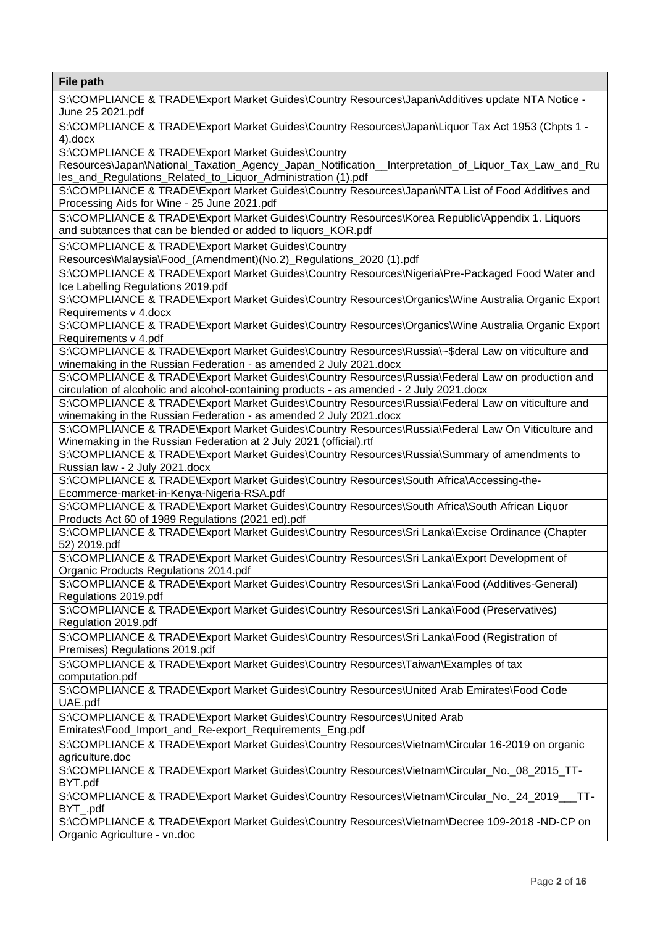**File path**  S:\COMPLIANCE & TRADE\Export Market Guides\Country Resources\Japan\Additives update NTA Notice - June 25 2021.pdf S:\COMPLIANCE & TRADE\Export Market Guides\Country Resources\Japan\Liquor Tax Act 1953 (Chpts 1 - 4).docx S:\COMPLIANCE & TRADE\Export Market Guides\Country Resources\Japan\National\_Taxation\_Agency\_Japan\_Notification\_\_Interpretation\_of\_Liquor\_Tax\_Law\_and\_Ru les\_and\_Regulations\_Related\_to\_Liquor\_Administration (1).pdf S:\COMPLIANCE & TRADE\Export Market Guides\Country Resources\Japan\NTA List of Food Additives and Processing Aids for Wine - 25 June 2021.pdf S:\COMPLIANCE & TRADE\Export Market Guides\Country Resources\Korea Republic\Appendix 1. Liquors and subtances that can be blended or added to liquors\_KOR.pdf S:\COMPLIANCE & TRADE\Export Market Guides\Country Resources\Malaysia\Food\_(Amendment)(No.2)\_Regulations\_2020 (1).pdf S:\COMPLIANCE & TRADE\Export Market Guides\Country Resources\Nigeria\Pre-Packaged Food Water and Ice Labelling Regulations 2019.pdf S:\COMPLIANCE & TRADE\Export Market Guides\Country Resources\Organics\Wine Australia Organic Export Requirements v 4.docx S:\COMPLIANCE & TRADE\Export Market Guides\Country Resources\Organics\Wine Australia Organic Export Requirements v 4.pdf S:\COMPLIANCE & TRADE\Export Market Guides\Country Resources\Russia\~\$deral Law on viticulture and winemaking in the Russian Federation - as amended 2 July 2021.docx S:\COMPLIANCE & TRADE\Export Market Guides\Country Resources\Russia\Federal Law on production and circulation of alcoholic and alcohol-containing products - as amended - 2 July 2021.docx S:\COMPLIANCE & TRADE\Export Market Guides\Country Resources\Russia\Federal Law on viticulture and winemaking in the Russian Federation - as amended 2 July 2021.docx S:\COMPLIANCE & TRADE\Export Market Guides\Country Resources\Russia\Federal Law On Viticulture and Winemaking in the Russian Federation at 2 July 2021 (official).rtf S:\COMPLIANCE & TRADE\Export Market Guides\Country Resources\Russia\Summary of amendments to Russian law - 2 July 2021.docx S:\COMPLIANCE & TRADE\Export Market Guides\Country Resources\South Africa\Accessing-the-Ecommerce-market-in-Kenya-Nigeria-RSA.pdf S:\COMPLIANCE & TRADE\Export Market Guides\Country Resources\South Africa\South African Liquor Products Act 60 of 1989 Regulations (2021 ed).pdf S:\COMPLIANCE & TRADE\Export Market Guides\Country Resources\Sri Lanka\Excise Ordinance (Chapter 52) 2019.pdf S:\COMPLIANCE & TRADE\Export Market Guides\Country Resources\Sri Lanka\Export Development of Organic Products Regulations 2014.pdf S:\COMPLIANCE & TRADE\Export Market Guides\Country Resources\Sri Lanka\Food (Additives-General) Regulations 2019.pdf S:\COMPLIANCE & TRADE\Export Market Guides\Country Resources\Sri Lanka\Food (Preservatives) Regulation 2019.pdf S:\COMPLIANCE & TRADE\Export Market Guides\Country Resources\Sri Lanka\Food (Registration of Premises) Regulations 2019.pdf S:\COMPLIANCE & TRADE\Export Market Guides\Country Resources\Taiwan\Examples of tax computation.pdf S:\COMPLIANCE & TRADE\Export Market Guides\Country Resources\United Arab Emirates\Food Code UAE.pdf S:\COMPLIANCE & TRADE\Export Market Guides\Country Resources\United Arab Emirates\Food\_Import\_and\_Re-export\_Requirements\_Eng.pdf S:\COMPLIANCE & TRADE\Export Market Guides\Country Resources\Vietnam\Circular 16-2019 on organic agriculture.doc S:\COMPLIANCE & TRADE\Export Market Guides\Country Resources\Vietnam\Circular\_No.\_08\_2015\_TT-BYT.pdf S:\COMPLIANCE & TRADE\Export Market Guides\Country Resources\Vietnam\Circular\_No.\_24\_2019\_\_\_TT-BYT\_.pdf S:\COMPLIANCE & TRADE\Export Market Guides\Country Resources\Vietnam\Decree 109-2018 -ND-CP on Organic Agriculture - vn.doc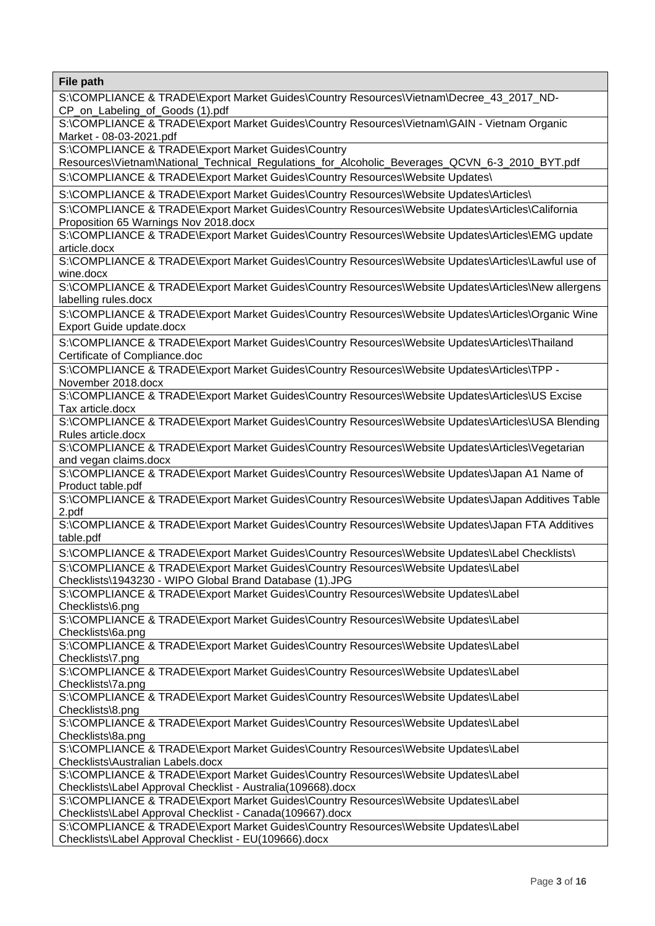| <b>File path</b>                                                                                                                          |
|-------------------------------------------------------------------------------------------------------------------------------------------|
| S:\COMPLIANCE & TRADE\Export Market Guides\Country Resources\Vietnam\Decree_43_2017_ND-                                                   |
| CP_on_Labeling_of_Goods (1).pdf                                                                                                           |
| S:\COMPLIANCE & TRADE\Export Market Guides\Country Resources\Vietnam\GAIN - Vietnam Organic                                               |
| Market - 08-03-2021.pdf                                                                                                                   |
| S:\COMPLIANCE & TRADE\Export Market Guides\Country                                                                                        |
| Resources\Vietnam\National_Technical_Regulations_for_Alcoholic_Beverages_QCVN_6-3_2010_BYT.pdf                                            |
| S:\COMPLIANCE & TRADE\Export Market Guides\Country Resources\Website Updates\                                                             |
| S:\COMPLIANCE & TRADE\Export Market Guides\Country Resources\Website Updates\Articles\                                                    |
| S:\COMPLIANCE & TRADE\Export Market Guides\Country Resources\Website Updates\Articles\California<br>Proposition 65 Warnings Nov 2018.docx |
| S:\COMPLIANCE & TRADE\Export Market Guides\Country Resources\Website Updates\Articles\EMG update<br>article.docx                          |
| S:\COMPLIANCE & TRADE\Export Market Guides\Country Resources\Website Updates\Articles\Lawful use of                                       |
| wine.docx                                                                                                                                 |
| S:\COMPLIANCE & TRADE\Export Market Guides\Country Resources\Website Updates\Articles\New allergens<br>labelling rules.docx               |
| S:\COMPLIANCE & TRADE\Export Market Guides\Country Resources\Website Updates\Articles\Organic Wine                                        |
| Export Guide update.docx                                                                                                                  |
| S:\COMPLIANCE & TRADE\Export Market Guides\Country Resources\Website Updates\Articles\Thailand                                            |
| Certificate of Compliance.doc                                                                                                             |
| S:\COMPLIANCE & TRADE\Export Market Guides\Country Resources\Website Updates\Articles\TPP -                                               |
| November 2018.docx                                                                                                                        |
| S:\COMPLIANCE & TRADE\Export Market Guides\Country Resources\Website Updates\Articles\US Excise                                           |
| Tax article.docx                                                                                                                          |
| S:\COMPLIANCE & TRADE\Export Market Guides\Country Resources\Website Updates\Articles\USA Blending                                        |
| Rules article.docx                                                                                                                        |
| S:\COMPLIANCE & TRADE\Export Market Guides\Country Resources\Website Updates\Articles\Vegetarian                                          |
| and vegan claims.docx                                                                                                                     |
| S:\COMPLIANCE & TRADE\Export Market Guides\Country Resources\Website Updates\Japan A1 Name of                                             |
| Product table.pdf<br>S:\COMPLIANCE & TRADE\Export Market Guides\Country Resources\Website Updates\Japan Additives Table                   |
| 2.pdf                                                                                                                                     |
| S:\COMPLIANCE & TRADE\Export Market Guides\Country Resources\Website Updates\Japan FTA Additives                                          |
| table.pdf                                                                                                                                 |
| S:\COMPLIANCE & TRADE\Export Market Guides\Country Resources\Website Updates\Label Checklists\                                            |
| S:\COMPLIANCE & TRADE\Export Market Guides\Country Resources\Website Updates\Label                                                        |
| Checklists\1943230 - WIPO Global Brand Database (1).JPG                                                                                   |
| S:\COMPLIANCE & TRADE\Export Market Guides\Country Resources\Website Updates\Label                                                        |
| Checklists\6.png                                                                                                                          |
| S:\COMPLIANCE & TRADE\Export Market Guides\Country Resources\Website Updates\Label                                                        |
| Checklists\6a.png                                                                                                                         |
| S:\COMPLIANCE & TRADE\Export Market Guides\Country Resources\Website Updates\Label                                                        |
| Checklists\7.png                                                                                                                          |
| S:\COMPLIANCE & TRADE\Export Market Guides\Country Resources\Website Updates\Label                                                        |
| Checklists\7a.png                                                                                                                         |
| S:\COMPLIANCE & TRADE\Export Market Guides\Country Resources\Website Updates\Label                                                        |
| Checklists\8.png<br>S:\COMPLIANCE & TRADE\Export Market Guides\Country Resources\Website Updates\Label                                    |
| Checklists\8a.png                                                                                                                         |
| S:\COMPLIANCE & TRADE\Export Market Guides\Country Resources\Website Updates\Label                                                        |
| Checklists\Australian Labels.docx                                                                                                         |
| S:\COMPLIANCE & TRADE\Export Market Guides\Country Resources\Website Updates\Label                                                        |
| Checklists\Label Approval Checklist - Australia(109668).docx                                                                              |
| S:\COMPLIANCE & TRADE\Export Market Guides\Country Resources\Website Updates\Label                                                        |
| Checklists\Label Approval Checklist - Canada(109667).docx                                                                                 |
| S:\COMPLIANCE & TRADE\Export Market Guides\Country Resources\Website Updates\Label                                                        |
| Checklists\Label Approval Checklist - EU(109666).docx                                                                                     |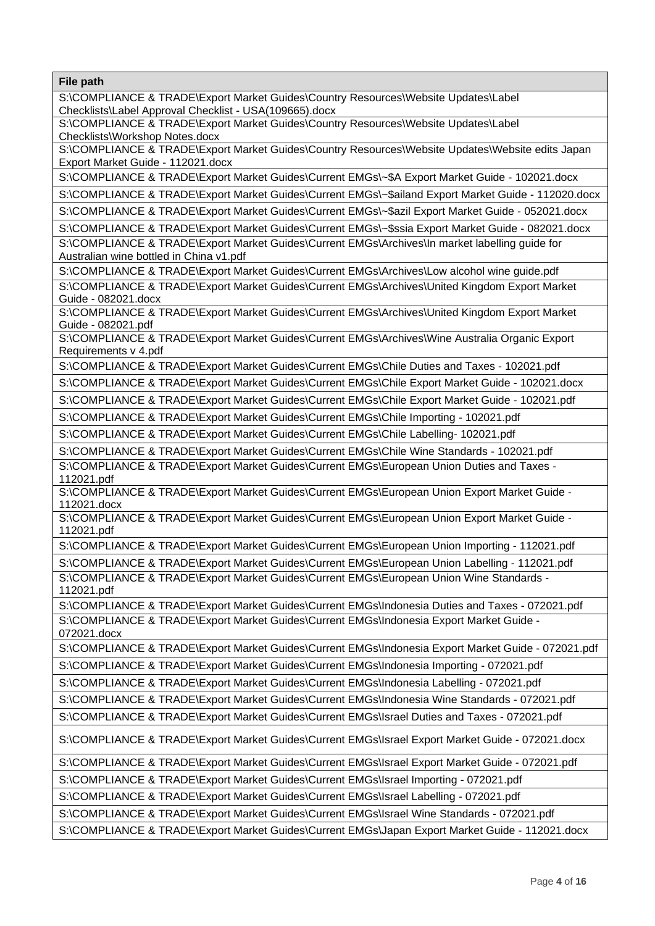**File path**  S:\COMPLIANCE & TRADE\Export Market Guides\Country Resources\Website Updates\Label Checklists\Label Approval Checklist - USA(109665).docx S:\COMPLIANCE & TRADE\Export Market Guides\Country Resources\Website Updates\Label Checklists\Workshop Notes.docx S:\COMPLIANCE & TRADE\Export Market Guides\Country Resources\Website Updates\Website edits Japan Export Market Guide - 112021.docx S:\COMPLIANCE & TRADE\Export Market Guides\Current EMGs\~\$A Export Market Guide - 102021.docx S:\COMPLIANCE & TRADE\Export Market Guides\Current EMGs\~\$ailand Export Market Guide - 112020.docx S:\COMPLIANCE & TRADE\Export Market Guides\Current EMGs\~\$azil Export Market Guide - 052021.docx S:\COMPLIANCE & TRADE\Export Market Guides\Current EMGs\~\$ssia Export Market Guide - 082021.docx S:\COMPLIANCE & TRADE\Export Market Guides\Current EMGs\Archives\In market labelling guide for Australian wine bottled in China v1.pdf S:\COMPLIANCE & TRADE\Export Market Guides\Current EMGs\Archives\Low alcohol wine guide.pdf S:\COMPLIANCE & TRADE\Export Market Guides\Current EMGs\Archives\United Kingdom Export Market Guide - 082021.docx S:\COMPLIANCE & TRADE\Export Market Guides\Current EMGs\Archives\United Kingdom Export Market Guide - 082021.pdf S:\COMPLIANCE & TRADE\Export Market Guides\Current EMGs\Archives\Wine Australia Organic Export Requirements v 4.pdf S:\COMPLIANCE & TRADE\Export Market Guides\Current EMGs\Chile Duties and Taxes - 102021.pdf S:\COMPLIANCE & TRADE\Export Market Guides\Current EMGs\Chile Export Market Guide - 102021.docx S:\COMPLIANCE & TRADE\Export Market Guides\Current EMGs\Chile Export Market Guide - 102021.pdf S:\COMPLIANCE & TRADE\Export Market Guides\Current EMGs\Chile Importing - 102021.pdf S:\COMPLIANCE & TRADE\Export Market Guides\Current EMGs\Chile Labelling- 102021.pdf S:\COMPLIANCE & TRADE\Export Market Guides\Current EMGs\Chile Wine Standards - 102021.pdf S:\COMPLIANCE & TRADE\Export Market Guides\Current EMGs\European Union Duties and Taxes - 112021.pdf S:\COMPLIANCE & TRADE\Export Market Guides\Current EMGs\European Union Export Market Guide - 112021.docx S:\COMPLIANCE & TRADE\Export Market Guides\Current EMGs\European Union Export Market Guide - 112021.pdf S:\COMPLIANCE & TRADE\Export Market Guides\Current EMGs\European Union Importing - 112021.pdf S:\COMPLIANCE & TRADE\Export Market Guides\Current EMGs\European Union Labelling - 112021.pdf S:\COMPLIANCE & TRADE\Export Market Guides\Current EMGs\European Union Wine Standards - 112021.pdf S:\COMPLIANCE & TRADE\Export Market Guides\Current EMGs\Indonesia Duties and Taxes - 072021.pdf S:\COMPLIANCE & TRADE\Export Market Guides\Current EMGs\Indonesia Export Market Guide - 072021.docx S:\COMPLIANCE & TRADE\Export Market Guides\Current EMGs\Indonesia Export Market Guide - 072021.pdf S:\COMPLIANCE & TRADE\Export Market Guides\Current EMGs\Indonesia Importing - 072021.pdf S:\COMPLIANCE & TRADE\Export Market Guides\Current EMGs\Indonesia Labelling - 072021.pdf S:\COMPLIANCE & TRADE\Export Market Guides\Current EMGs\Indonesia Wine Standards - 072021.pdf S:\COMPLIANCE & TRADE\Export Market Guides\Current EMGs\Israel Duties and Taxes - 072021.pdf S:\COMPLIANCE & TRADE\Export Market Guides\Current EMGs\Israel Export Market Guide - 072021.docx S:\COMPLIANCE & TRADE\Export Market Guides\Current EMGs\Israel Export Market Guide - 072021.pdf S:\COMPLIANCE & TRADE\Export Market Guides\Current EMGs\Israel Importing - 072021.pdf S:\COMPLIANCE & TRADE\Export Market Guides\Current EMGs\Israel Labelling - 072021.pdf S:\COMPLIANCE & TRADE\Export Market Guides\Current EMGs\Israel Wine Standards - 072021.pdf S:\COMPLIANCE & TRADE\Export Market Guides\Current EMGs\Japan Export Market Guide - 112021.docx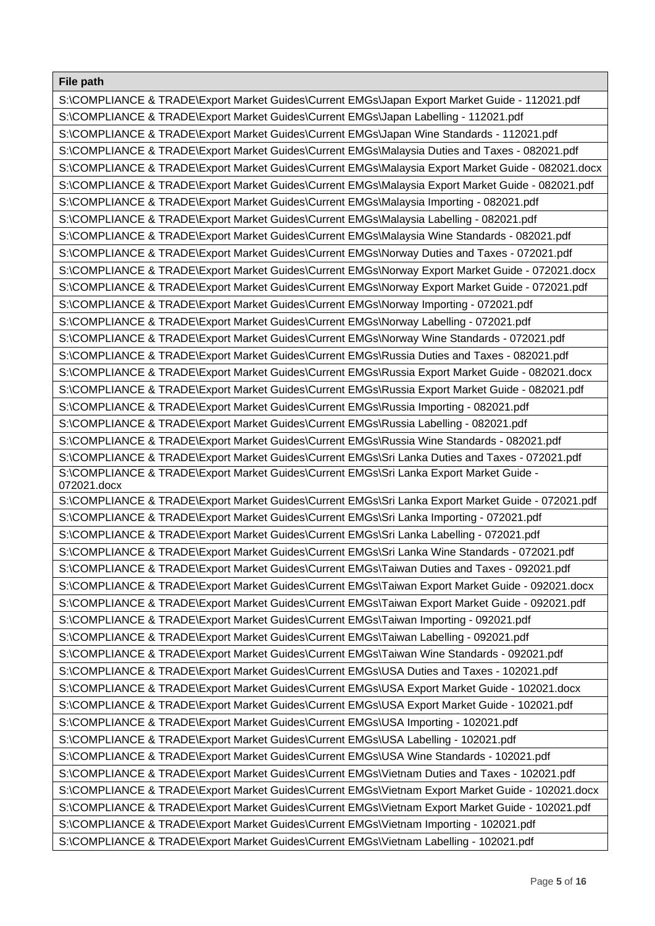| File path                                                                                              |
|--------------------------------------------------------------------------------------------------------|
| S:\COMPLIANCE & TRADE\Export Market Guides\Current EMGs\Japan Export Market Guide - 112021.pdf         |
| S:\COMPLIANCE & TRADE\Export Market Guides\Current EMGs\Japan Labelling - 112021.pdf                   |
| S:\COMPLIANCE & TRADE\Export Market Guides\Current EMGs\Japan Wine Standards - 112021.pdf              |
| S:\COMPLIANCE & TRADE\Export Market Guides\Current EMGs\Malaysia Duties and Taxes - 082021.pdf         |
| S:\COMPLIANCE & TRADE\Export Market Guides\Current EMGs\Malaysia Export Market Guide - 082021.docx     |
| S:\COMPLIANCE & TRADE\Export Market Guides\Current EMGs\Malaysia Export Market Guide - 082021.pdf      |
| S:\COMPLIANCE & TRADE\Export Market Guides\Current EMGs\Malaysia Importing - 082021.pdf                |
| S:\COMPLIANCE & TRADE\Export Market Guides\Current EMGs\Malaysia Labelling - 082021.pdf                |
| S:\COMPLIANCE & TRADE\Export Market Guides\Current EMGs\Malaysia Wine Standards - 082021.pdf           |
| S:\COMPLIANCE & TRADE\Export Market Guides\Current EMGs\Norway Duties and Taxes - 072021.pdf           |
| S:\COMPLIANCE & TRADE\Export Market Guides\Current EMGs\Norway Export Market Guide - 072021.docx       |
| S:\COMPLIANCE & TRADE\Export Market Guides\Current EMGs\Norway Export Market Guide - 072021.pdf        |
| S:\COMPLIANCE & TRADE\Export Market Guides\Current EMGs\Norway Importing - 072021.pdf                  |
| S:\COMPLIANCE & TRADE\Export Market Guides\Current EMGs\Norway Labelling - 072021.pdf                  |
| S:\COMPLIANCE & TRADE\Export Market Guides\Current EMGs\Norway Wine Standards - 072021.pdf             |
| S:\COMPLIANCE & TRADE\Export Market Guides\Current EMGs\Russia Duties and Taxes - 082021.pdf           |
| S:\COMPLIANCE & TRADE\Export Market Guides\Current EMGs\Russia Export Market Guide - 082021.docx       |
| S:\COMPLIANCE & TRADE\Export Market Guides\Current EMGs\Russia Export Market Guide - 082021.pdf        |
| S:\COMPLIANCE & TRADE\Export Market Guides\Current EMGs\Russia Importing - 082021.pdf                  |
| S:\COMPLIANCE & TRADE\Export Market Guides\Current EMGs\Russia Labelling - 082021.pdf                  |
| S:\COMPLIANCE & TRADE\Export Market Guides\Current EMGs\Russia Wine Standards - 082021.pdf             |
| S:\COMPLIANCE & TRADE\Export Market Guides\Current EMGs\Sri Lanka Duties and Taxes - 072021.pdf        |
| S:\COMPLIANCE & TRADE\Export Market Guides\Current EMGs\Sri Lanka Export Market Guide -<br>072021.docx |
| S:\COMPLIANCE & TRADE\Export Market Guides\Current EMGs\Sri Lanka Export Market Guide - 072021.pdf     |
| S:\COMPLIANCE & TRADE\Export Market Guides\Current EMGs\Sri Lanka Importing - 072021.pdf               |
| S:\COMPLIANCE & TRADE\Export Market Guides\Current EMGs\Sri Lanka Labelling - 072021.pdf               |
| S:\COMPLIANCE & TRADE\Export Market Guides\Current EMGs\Sri Lanka Wine Standards - 072021.pdf          |
| S:\COMPLIANCE & TRADE\Export Market Guides\Current EMGs\Taiwan Duties and Taxes - 092021.pdf           |
| S:\COMPLIANCE & TRADE\Export Market Guides\Current EMGs\Taiwan Export Market Guide - 092021.docx       |
| S:\COMPLIANCE & TRADE\Export Market Guides\Current EMGs\Taiwan Export Market Guide - 092021.pdf        |
| S:\COMPLIANCE & TRADE\Export Market Guides\Current EMGs\Taiwan Importing - 092021.pdf                  |
| S:\COMPLIANCE & TRADE\Export Market Guides\Current EMGs\Taiwan Labelling - 092021.pdf                  |
| S:\COMPLIANCE & TRADE\Export Market Guides\Current EMGs\Taiwan Wine Standards - 092021.pdf             |
| S:\COMPLIANCE & TRADE\Export Market Guides\Current EMGs\USA Duties and Taxes - 102021.pdf              |
| S:\COMPLIANCE & TRADE\Export Market Guides\Current EMGs\USA Export Market Guide - 102021.docx          |
| S:\COMPLIANCE & TRADE\Export Market Guides\Current EMGs\USA Export Market Guide - 102021.pdf           |
| S:\COMPLIANCE & TRADE\Export Market Guides\Current EMGs\USA Importing - 102021.pdf                     |
| S:\COMPLIANCE & TRADE\Export Market Guides\Current EMGs\USA Labelling - 102021.pdf                     |
| S:\COMPLIANCE & TRADE\Export Market Guides\Current EMGs\USA Wine Standards - 102021.pdf                |
| S:\COMPLIANCE & TRADE\Export Market Guides\Current EMGs\Vietnam Duties and Taxes - 102021.pdf          |
| S:\COMPLIANCE & TRADE\Export Market Guides\Current EMGs\Vietnam Export Market Guide - 102021.docx      |
| S:\COMPLIANCE & TRADE\Export Market Guides\Current EMGs\Vietnam Export Market Guide - 102021.pdf       |
| S:\COMPLIANCE & TRADE\Export Market Guides\Current EMGs\Vietnam Importing - 102021.pdf                 |
| S:\COMPLIANCE & TRADE\Export Market Guides\Current EMGs\Vietnam Labelling - 102021.pdf                 |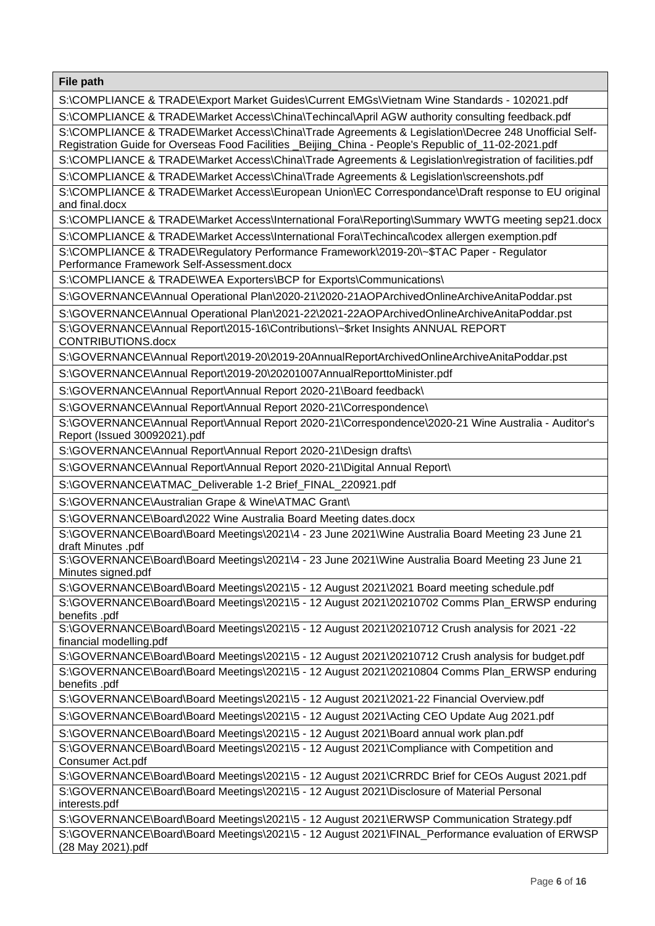S:\COMPLIANCE & TRADE\Export Market Guides\Current EMGs\Vietnam Wine Standards - 102021.pdf

S:\COMPLIANCE & TRADE\Market Access\China\Techincal\April AGW authority consulting feedback.pdf

S:\COMPLIANCE & TRADE\Market Access\China\Trade Agreements & Legislation\Decree 248 Unofficial Self-Registration Guide for Overseas Food Facilities \_Beijing\_China - People's Republic of\_11-02-2021.pdf

S:\COMPLIANCE & TRADE\Market Access\China\Trade Agreements & Legislation\registration of facilities.pdf

S:\COMPLIANCE & TRADE\Market Access\China\Trade Agreements & Legislation\screenshots.pdf

S:\COMPLIANCE & TRADE\Market Access\European Union\EC Correspondance\Draft response to EU original and final.docx

S:\COMPLIANCE & TRADE\Market Access\International Fora\Reporting\Summary WWTG meeting sep21.docx

S:\COMPLIANCE & TRADE\Market Access\International Fora\Techincal\codex allergen exemption.pdf

S:\COMPLIANCE & TRADE\Regulatory Performance Framework\2019-20\~\$TAC Paper - Regulator Performance Framework Self-Assessment.docx

S:\COMPLIANCE & TRADE\WEA Exporters\BCP for Exports\Communications\

S:\GOVERNANCE\Annual Operational Plan\2020-21\2020-21AOPArchivedOnlineArchiveAnitaPoddar.pst

S:\GOVERNANCE\Annual Operational Plan\2021-22\2021-22AOPArchivedOnlineArchiveAnitaPoddar.pst

S:\GOVERNANCE\Annual Report\2015-16\Contributions\~\$rket Insights ANNUAL REPORT CONTRIBUTIONS.docx

S:\GOVERNANCE\Annual Report\2019-20\2019-20AnnualReportArchivedOnlineArchiveAnitaPoddar.pst

S:\GOVERNANCE\Annual Report\2019-20\20201007AnnualReporttoMinister.pdf

S:\GOVERNANCE\Annual Report\Annual Report 2020-21\Board feedback\

S:\GOVERNANCE\Annual Report\Annual Report 2020-21\Correspondence\

S:\GOVERNANCE\Annual Report\Annual Report 2020-21\Correspondence\2020-21 Wine Australia - Auditor's Report (Issued 30092021).pdf

S:\GOVERNANCE\Annual Report\Annual Report 2020-21\Design drafts\

S:\GOVERNANCE\Annual Report\Annual Report 2020-21\Digital Annual Report\

S:\GOVERNANCE\ATMAC\_Deliverable 1-2 Brief\_FINAL\_220921.pdf

S:\GOVERNANCE\Australian Grape & Wine\ATMAC Grant\

S:\GOVERNANCE\Board\2022 Wine Australia Board Meeting dates.docx

S:\GOVERNANCE\Board\Board Meetings\2021\4 - 23 June 2021\Wine Australia Board Meeting 23 June 21 draft Minutes .pdf

S:\GOVERNANCE\Board\Board Meetings\2021\4 - 23 June 2021\Wine Australia Board Meeting 23 June 21 Minutes signed.pdf

S:\GOVERNANCE\Board\Board Meetings\2021\5 - 12 August 2021\2021 Board meeting schedule.pdf

S:\GOVERNANCE\Board\Board Meetings\2021\5 - 12 August 2021\20210702 Comms Plan\_ERWSP enduring benefits .pdf

S:\GOVERNANCE\Board\Board Meetings\2021\5 - 12 August 2021\20210712 Crush analysis for 2021 -22 financial modelling.pdf

S:\GOVERNANCE\Board\Board Meetings\2021\5 - 12 August 2021\20210712 Crush analysis for budget.pdf S:\GOVERNANCE\Board\Board Meetings\2021\5 - 12 August 2021\20210804 Comms Plan\_ERWSP enduring benefits .pdf

S:\GOVERNANCE\Board\Board Meetings\2021\5 - 12 August 2021\2021-22 Financial Overview.pdf

S:\GOVERNANCE\Board\Board Meetings\2021\5 - 12 August 2021\Acting CEO Update Aug 2021.pdf

S:\GOVERNANCE\Board\Board Meetings\2021\5 - 12 August 2021\Board annual work plan.pdf

S:\GOVERNANCE\Board\Board Meetings\2021\5 - 12 August 2021\Compliance with Competition and Consumer Act.pdf

S:\GOVERNANCE\Board\Board Meetings\2021\5 - 12 August 2021\CRRDC Brief for CEOs August 2021.pdf S:\GOVERNANCE\Board\Board Meetings\2021\5 - 12 August 2021\Disclosure of Material Personal

interests.pdf

S:\GOVERNANCE\Board\Board Meetings\2021\5 - 12 August 2021\ERWSP Communication Strategy.pdf S:\GOVERNANCE\Board\Board Meetings\2021\5 - 12 August 2021\FINAL\_Performance evaluation of ERWSP (28 May 2021).pdf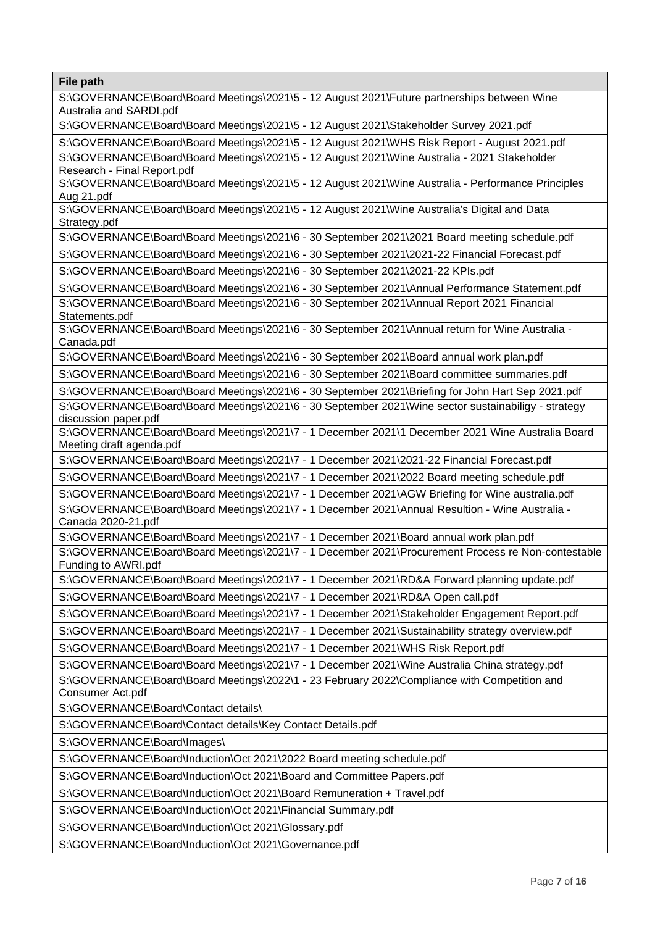| ι ιι <del>ς</del> μαιτι                                                                                                      |
|------------------------------------------------------------------------------------------------------------------------------|
| S:\GOVERNANCE\Board\Board Meetings\2021\5 - 12 August 2021\Future partnerships between Wine<br>Australia and SARDI.pdf       |
| S:\GOVERNANCE\Board\Board Meetings\2021\5 - 12 August 2021\Stakeholder Survey 2021.pdf                                       |
| S:\GOVERNANCE\Board\Board Meetings\2021\5 - 12 August 2021\WHS Risk Report - August 2021.pdf                                 |
| S:\GOVERNANCE\Board\Board Meetings\2021\5 - 12 August 2021\Wine Australia - 2021 Stakeholder<br>Research - Final Report.pdf  |
| S:\GOVERNANCE\Board\Board Meetings\2021\5 - 12 August 2021\Wine Australia - Performance Principles<br>Aug 21.pdf             |
| S:\GOVERNANCE\Board\Board Meetings\2021\5 - 12 August 2021\Wine Australia's Digital and Data<br>Strategy.pdf                 |
| S:\GOVERNANCE\Board\Board Meetings\2021\6 - 30 September 2021\2021 Board meeting schedule.pdf                                |
| S:\GOVERNANCE\Board\Board Meetings\2021\6 - 30 September 2021\2021-22 Financial Forecast.pdf                                 |
| S:\GOVERNANCE\Board\Board Meetings\2021\6 - 30 September 2021\2021-22 KPIs.pdf                                               |
| S:\GOVERNANCE\Board\Board Meetings\2021\6 - 30 September 2021\Annual Performance Statement.pdf                               |
| S:\GOVERNANCE\Board\Board Meetings\2021\6 - 30 September 2021\Annual Report 2021 Financial<br>Statements.pdf                 |
| S:\GOVERNANCE\Board\Board Meetings\2021\6 - 30 September 2021\Annual return for Wine Australia -<br>Canada.pdf               |
| S:\GOVERNANCE\Board\Board Meetings\2021\6 - 30 September 2021\Board annual work plan.pdf                                     |
| S:\GOVERNANCE\Board\Board Meetings\2021\6 - 30 September 2021\Board committee summaries.pdf                                  |
| S:\GOVERNANCE\Board\Board Meetings\2021\6 - 30 September 2021\Briefing for John Hart Sep 2021.pdf                            |
| S:\GOVERNANCE\Board\Board Meetings\2021\6 - 30 September 2021\Wine sector sustainabiligy - strategy                          |
| discussion paper.pdf                                                                                                         |
| S:\GOVERNANCE\Board\Board Meetings\2021\7 - 1 December 2021\1 December 2021 Wine Australia Board<br>Meeting draft agenda.pdf |
| S:\GOVERNANCE\Board\Board Meetings\2021\7 - 1 December 2021\2021-22 Financial Forecast.pdf                                   |
| S:\GOVERNANCE\Board\Board Meetings\2021\7 - 1 December 2021\2022 Board meeting schedule.pdf                                  |
| S:\GOVERNANCE\Board\Board Meetings\2021\7 - 1 December 2021\AGW Briefing for Wine australia.pdf                              |
| S:\GOVERNANCE\Board\Board Meetings\2021\7 - 1 December 2021\Annual Resultion - Wine Australia -                              |
| Canada 2020-21.pdf                                                                                                           |
| S:\GOVERNANCE\Board\Board Meetings\2021\7 - 1 December 2021\Board annual work plan.pdf                                       |
| S:\GOVERNANCE\Board\Board Meetings\2021\7 - 1 December 2021\Procurement Process re Non-contestable<br>Funding to AWRI.pdf    |
| S:\GOVERNANCE\Board\Board Meetings\2021\7 - 1 December 2021\RD&A Forward planning update.pdf                                 |
| S:\GOVERNANCE\Board\Board Meetings\2021\7 - 1 December 2021\RD&A Open call.pdf                                               |
| S:\GOVERNANCE\Board\Board Meetings\2021\7 - 1 December 2021\Stakeholder Engagement Report.pdf                                |
| S:\GOVERNANCE\Board\Board Meetings\2021\7 - 1 December 2021\Sustainability strategy overview.pdf                             |
| S:\GOVERNANCE\Board\Board Meetings\2021\7 - 1 December 2021\WHS Risk Report.pdf                                              |
| S:\GOVERNANCE\Board\Board Meetings\2021\7 - 1 December 2021\Wine Australia China strategy.pdf                                |
| S:\GOVERNANCE\Board\Board Meetings\2022\1 - 23 February 2022\Compliance with Competition and<br>Consumer Act.pdf             |
| S:\GOVERNANCE\Board\Contact details\                                                                                         |
| S:\GOVERNANCE\Board\Contact details\Key Contact Details.pdf                                                                  |
| S:\GOVERNANCE\Board\Images\                                                                                                  |
| S:\GOVERNANCE\Board\Induction\Oct 2021\2022 Board meeting schedule.pdf                                                       |
| S:\GOVERNANCE\Board\Induction\Oct 2021\Board and Committee Papers.pdf                                                        |
| S:\GOVERNANCE\Board\Induction\Oct 2021\Board Remuneration + Travel.pdf                                                       |
| S:\GOVERNANCE\Board\Induction\Oct 2021\Financial Summary.pdf                                                                 |
| S:\GOVERNANCE\Board\Induction\Oct 2021\Glossary.pdf                                                                          |
| S:\GOVERNANCE\Board\Induction\Oct 2021\Governance.pdf                                                                        |
|                                                                                                                              |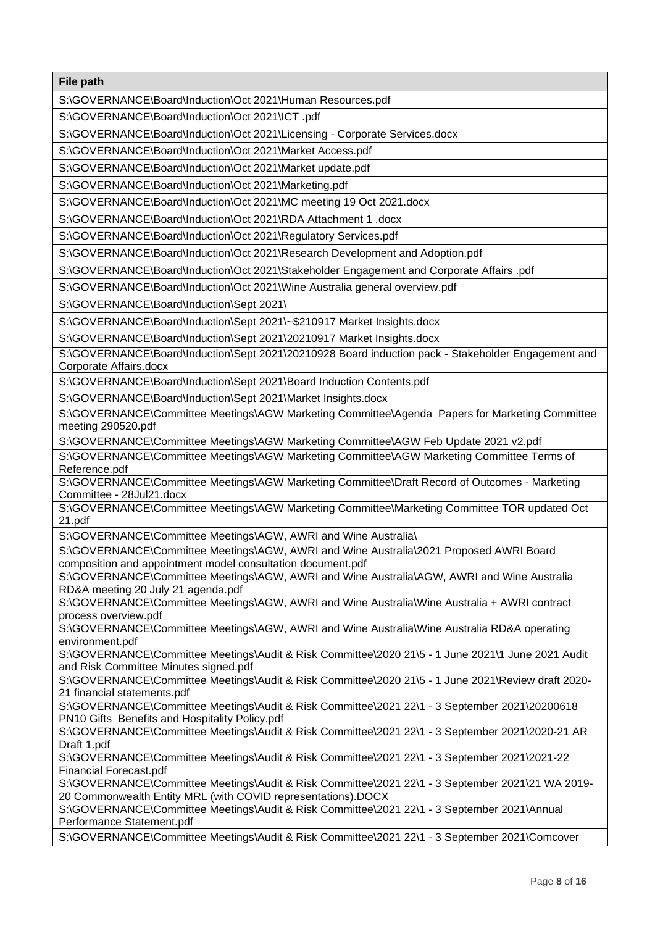S:\GOVERNANCE\Board\Induction\Oct 2021\Human Resources.pdf

S:\GOVERNANCE\Board\Induction\Oct 2021\ICT .pdf

S:\GOVERNANCE\Board\Induction\Oct 2021\Licensing - Corporate Services.docx

S:\GOVERNANCE\Board\Induction\Oct 2021\Market Access.pdf

S:\GOVERNANCE\Board\Induction\Oct 2021\Market update.pdf

S:\GOVERNANCE\Board\Induction\Oct 2021\Marketing.pdf

S:\GOVERNANCE\Board\Induction\Oct 2021\MC meeting 19 Oct 2021.docx

S:\GOVERNANCE\Board\Induction\Oct 2021\RDA Attachment 1 .docx

S:\GOVERNANCE\Board\Induction\Oct 2021\Regulatory Services.pdf

S:\GOVERNANCE\Board\Induction\Oct 2021\Research Development and Adoption.pdf

S:\GOVERNANCE\Board\Induction\Oct 2021\Stakeholder Engagement and Corporate Affairs .pdf

S:\GOVERNANCE\Board\Induction\Oct 2021\Wine Australia general overview.pdf

S:\GOVERNANCE\Board\Induction\Sept 2021\

S:\GOVERNANCE\Board\Induction\Sept 2021\~\$210917 Market Insights.docx

S:\GOVERNANCE\Board\Induction\Sept 2021\20210917 Market Insights.docx

S:\GOVERNANCE\Board\Induction\Sept 2021\20210928 Board induction pack - Stakeholder Engagement and Corporate Affairs.docx

S:\GOVERNANCE\Board\Induction\Sept 2021\Board Induction Contents.pdf

S:\GOVERNANCE\Board\Induction\Sept 2021\Market Insights.docx

S:\GOVERNANCE\Committee Meetings\AGW Marketing Committee\Agenda Papers for Marketing Committee meeting 290520.pdf

S:\GOVERNANCE\Committee Meetings\AGW Marketing Committee\AGW Feb Update 2021 v2.pdf

S:\GOVERNANCE\Committee Meetings\AGW Marketing Committee\AGW Marketing Committee Terms of Reference.pdf

S:\GOVERNANCE\Committee Meetings\AGW Marketing Committee\Draft Record of Outcomes - Marketing Committee - 28Jul21.docx

S:\GOVERNANCE\Committee Meetings\AGW Marketing Committee\Marketing Committee TOR updated Oct 21.pdf

S:\GOVERNANCE\Committee Meetings\AGW, AWRI and Wine Australia\

S:\GOVERNANCE\Committee Meetings\AGW, AWRI and Wine Australia\2021 Proposed AWRI Board composition and appointment model consultation document.pdf

S:\GOVERNANCE\Committee Meetings\AGW, AWRI and Wine Australia\AGW, AWRI and Wine Australia RD&A meeting 20 July 21 agenda.pdf

S:\GOVERNANCE\Committee Meetings\AGW, AWRI and Wine Australia\Wine Australia + AWRI contract process overview.pdf

S:\GOVERNANCE\Committee Meetings\AGW, AWRI and Wine Australia\Wine Australia RD&A operating environment.pdf

S:\GOVERNANCE\Committee Meetings\Audit & Risk Committee\2020 21\5 - 1 June 2021\1 June 2021 Audit and Risk Committee Minutes signed.pdf

S:\GOVERNANCE\Committee Meetings\Audit & Risk Committee\2020 21\5 - 1 June 2021\Review draft 2020- 21 financial statements.pdf

S:\GOVERNANCE\Committee Meetings\Audit & Risk Committee\2021 22\1 - 3 September 2021\20200618 PN10 Gifts Benefits and Hospitality Policy.pdf

S:\GOVERNANCE\Committee Meetings\Audit & Risk Committee\2021 22\1 - 3 September 2021\2020-21 AR Draft 1.pdf

S:\GOVERNANCE\Committee Meetings\Audit & Risk Committee\2021 22\1 - 3 September 2021\2021-22 Financial Forecast.pdf

S:\GOVERNANCE\Committee Meetings\Audit & Risk Committee\2021 22\1 - 3 September 2021\21 WA 2019- 20 Commonwealth Entity MRL (with COVID representations).DOCX

S:\GOVERNANCE\Committee Meetings\Audit & Risk Committee\2021 22\1 - 3 September 2021\Annual Performance Statement.pdf

S:\GOVERNANCE\Committee Meetings\Audit & Risk Committee\2021 22\1 - 3 September 2021\Comcover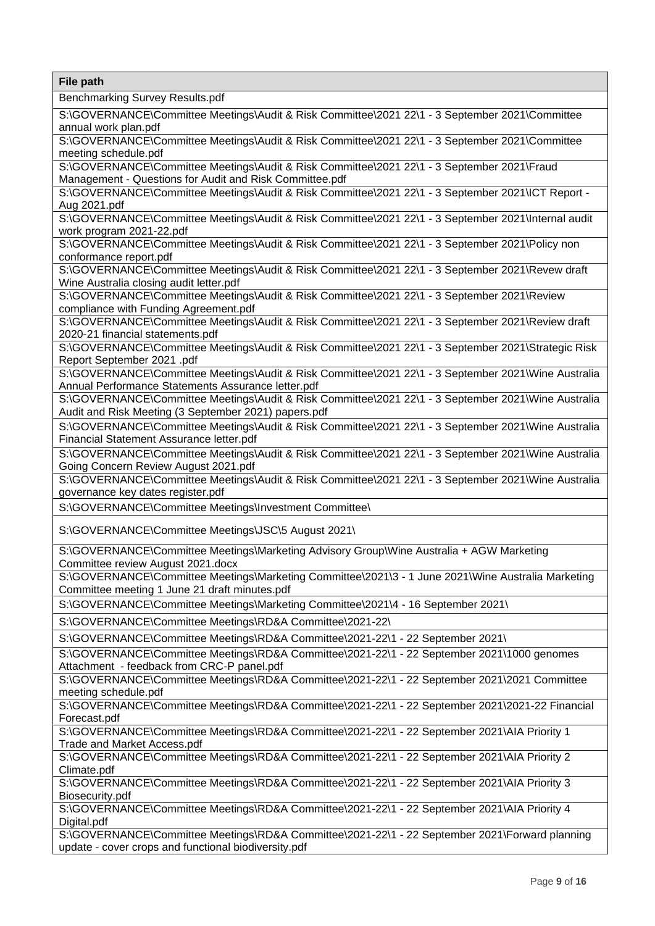Benchmarking Survey Results.pdf

S:\GOVERNANCE\Committee Meetings\Audit & Risk Committee\2021 22\1 - 3 September 2021\Committee annual work plan.pdf

S:\GOVERNANCE\Committee Meetings\Audit & Risk Committee\2021 22\1 - 3 September 2021\Committee meeting schedule.pdf

S:\GOVERNANCE\Committee Meetings\Audit & Risk Committee\2021 22\1 - 3 September 2021\Fraud Management - Questions for Audit and Risk Committee.pdf

S:\GOVERNANCE\Committee Meetings\Audit & Risk Committee\2021 22\1 - 3 September 2021\ICT Report - Aug 2021.pdf

S:\GOVERNANCE\Committee Meetings\Audit & Risk Committee\2021 22\1 - 3 September 2021\Internal audit work program 2021-22.pdf

S:\GOVERNANCE\Committee Meetings\Audit & Risk Committee\2021 22\1 - 3 September 2021\Policy non conformance report.pdf

S:\GOVERNANCE\Committee Meetings\Audit & Risk Committee\2021 22\1 - 3 September 2021\Revew draft Wine Australia closing audit letter.pdf

S:\GOVERNANCE\Committee Meetings\Audit & Risk Committee\2021 22\1 - 3 September 2021\Review compliance with Funding Agreement.pdf

S:\GOVERNANCE\Committee Meetings\Audit & Risk Committee\2021 22\1 - 3 September 2021\Review draft 2020-21 financial statements.pdf

S:\GOVERNANCE\Committee Meetings\Audit & Risk Committee\2021 22\1 - 3 September 2021\Strategic Risk Report September 2021 .pdf

S:\GOVERNANCE\Committee Meetings\Audit & Risk Committee\2021 22\1 - 3 September 2021\Wine Australia Annual Performance Statements Assurance letter.pdf

S:\GOVERNANCE\Committee Meetings\Audit & Risk Committee\2021 22\1 - 3 September 2021\Wine Australia Audit and Risk Meeting (3 September 2021) papers.pdf

S:\GOVERNANCE\Committee Meetings\Audit & Risk Committee\2021 22\1 - 3 September 2021\Wine Australia Financial Statement Assurance letter.pdf

S:\GOVERNANCE\Committee Meetings\Audit & Risk Committee\2021 22\1 - 3 September 2021\Wine Australia Going Concern Review August 2021.pdf

S:\GOVERNANCE\Committee Meetings\Audit & Risk Committee\2021 22\1 - 3 September 2021\Wine Australia governance key dates register.pdf

S:\GOVERNANCE\Committee Meetings\Investment Committee\

S:\GOVERNANCE\Committee Meetings\JSC\5 August 2021\

S:\GOVERNANCE\Committee Meetings\Marketing Advisory Group\Wine Australia + AGW Marketing Committee review August 2021.docx

S:\GOVERNANCE\Committee Meetings\Marketing Committee\2021\3 - 1 June 2021\Wine Australia Marketing Committee meeting 1 June 21 draft minutes.pdf

S:\GOVERNANCE\Committee Meetings\Marketing Committee\2021\4 - 16 September 2021\

S:\GOVERNANCE\Committee Meetings\RD&A Committee\2021-22\

S:\GOVERNANCE\Committee Meetings\RD&A Committee\2021-22\1 - 22 September 2021\

S:\GOVERNANCE\Committee Meetings\RD&A Committee\2021-22\1 - 22 September 2021\1000 genomes Attachment - feedback from CRC-P panel.pdf

S:\GOVERNANCE\Committee Meetings\RD&A Committee\2021-22\1 - 22 September 2021\2021 Committee meeting schedule.pdf

S:\GOVERNANCE\Committee Meetings\RD&A Committee\2021-22\1 - 22 September 2021\2021-22 Financial Forecast.pdf

S:\GOVERNANCE\Committee Meetings\RD&A Committee\2021-22\1 - 22 September 2021\AIA Priority 1 Trade and Market Access.pdf

S:\GOVERNANCE\Committee Meetings\RD&A Committee\2021-22\1 - 22 September 2021\AIA Priority 2 Climate.pdf

S:\GOVERNANCE\Committee Meetings\RD&A Committee\2021-22\1 - 22 September 2021\AIA Priority 3 Biosecurity.pdf

S:\GOVERNANCE\Committee Meetings\RD&A Committee\2021-22\1 - 22 September 2021\AIA Priority 4 Digital.pdf

S:\GOVERNANCE\Committee Meetings\RD&A Committee\2021-22\1 - 22 September 2021\Forward planning update - cover crops and functional biodiversity.pdf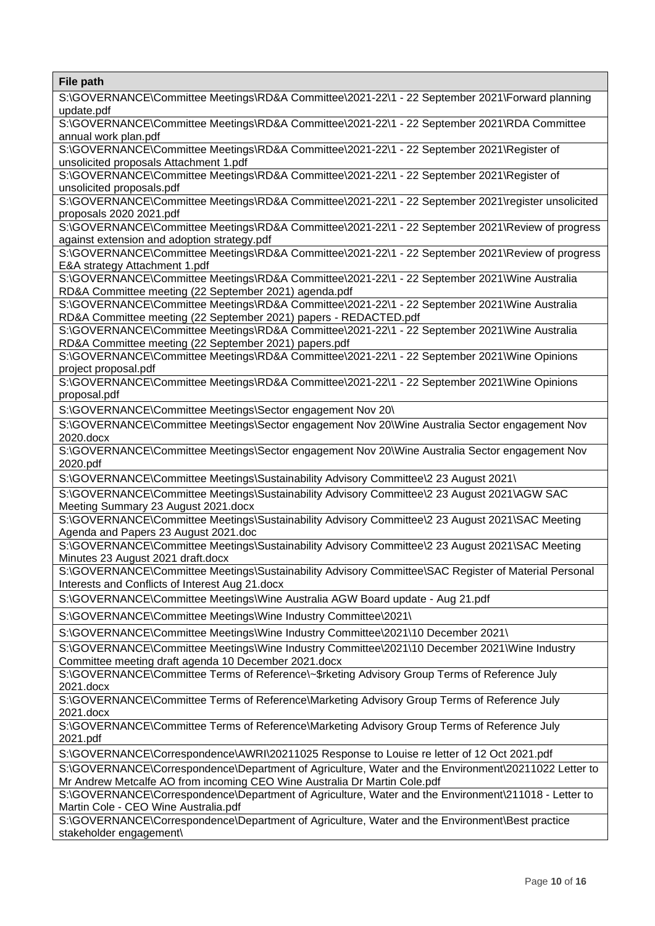| File path                                                                                                                                                                         |
|-----------------------------------------------------------------------------------------------------------------------------------------------------------------------------------|
| S:\GOVERNANCE\Committee Meetings\RD&A Committee\2021-22\1 - 22 September 2021\Forward planning<br>update.pdf                                                                      |
| S:\GOVERNANCE\Committee Meetings\RD&A Committee\2021-22\1 - 22 September 2021\RDA Committee<br>annual work plan.pdf                                                               |
| S:\GOVERNANCE\Committee Meetings\RD&A Committee\2021-22\1 - 22 September 2021\Register of<br>unsolicited proposals Attachment 1.pdf                                               |
| S:\GOVERNANCE\Committee Meetings\RD&A Committee\2021-22\1 - 22 September 2021\Register of<br>unsolicited proposals.pdf                                                            |
| S:\GOVERNANCE\Committee Meetings\RD&A Committee\2021-22\1 - 22 September 2021\register unsolicited<br>proposals 2020 2021.pdf                                                     |
| S:\GOVERNANCE\Committee Meetings\RD&A Committee\2021-22\1 - 22 September 2021\Review of progress<br>against extension and adoption strategy.pdf                                   |
| S:\GOVERNANCE\Committee Meetings\RD&A Committee\2021-22\1 - 22 September 2021\Review of progress<br>E&A strategy Attachment 1.pdf                                                 |
| S:\GOVERNANCE\Committee Meetings\RD&A Committee\2021-22\1 - 22 September 2021\Wine Australia<br>RD&A Committee meeting (22 September 2021) agenda.pdf                             |
| S:\GOVERNANCE\Committee Meetings\RD&A Committee\2021-22\1 - 22 September 2021\Wine Australia<br>RD&A Committee meeting (22 September 2021) papers - REDACTED.pdf                  |
| S:\GOVERNANCE\Committee Meetings\RD&A Committee\2021-22\1 - 22 September 2021\Wine Australia<br>RD&A Committee meeting (22 September 2021) papers.pdf                             |
| S:\GOVERNANCE\Committee Meetings\RD&A Committee\2021-22\1 - 22 September 2021\Wine Opinions<br>project proposal.pdf                                                               |
| S:\GOVERNANCE\Committee Meetings\RD&A Committee\2021-22\1 - 22 September 2021\Wine Opinions<br>proposal.pdf                                                                       |
| S:\GOVERNANCE\Committee Meetings\Sector engagement Nov 20\                                                                                                                        |
| S:\GOVERNANCE\Committee Meetings\Sector engagement Nov 20\Wine Australia Sector engagement Nov<br>2020.docx                                                                       |
| S:\GOVERNANCE\Committee Meetings\Sector engagement Nov 20\Wine Australia Sector engagement Nov<br>2020.pdf                                                                        |
| S:\GOVERNANCE\Committee Meetings\Sustainability Advisory Committee\2 23 August 2021\                                                                                              |
| S:\GOVERNANCE\Committee Meetings\Sustainability Advisory Committee\2 23 August 2021\AGW SAC<br>Meeting Summary 23 August 2021.docx                                                |
| S:\GOVERNANCE\Committee Meetings\Sustainability Advisory Committee\2 23 August 2021\SAC Meeting<br>Agenda and Papers 23 August 2021.doc                                           |
| S:\GOVERNANCE\Committee Meetings\Sustainability Advisory Committee\2 23 August 2021\SAC Meeting<br>Minutes 23 August 2021 draft.docx                                              |
| S:\GOVERNANCE\Committee Meetings\Sustainability Advisory Committee\SAC Register of Material Personal<br>Interests and Conflicts of Interest Aug 21.docx                           |
| S:\GOVERNANCE\Committee Meetings\Wine Australia AGW Board update - Aug 21.pdf                                                                                                     |
| S:\GOVERNANCE\Committee Meetings\Wine Industry Committee\2021\                                                                                                                    |
| S:\GOVERNANCE\Committee Meetings\Wine Industry Committee\2021\10 December 2021\                                                                                                   |
| S:\GOVERNANCE\Committee Meetings\Wine Industry Committee\2021\10 December 2021\Wine Industry<br>Committee meeting draft agenda 10 December 2021.docx                              |
| S:\GOVERNANCE\Committee Terms of Reference\~\$rketing Advisory Group Terms of Reference July<br>2021.docx                                                                         |
| S:\GOVERNANCE\Committee Terms of Reference\Marketing Advisory Group Terms of Reference July<br>2021.docx                                                                          |
| S:\GOVERNANCE\Committee Terms of Reference\Marketing Advisory Group Terms of Reference July<br>2021.pdf                                                                           |
| S:\GOVERNANCE\Correspondence\AWRI\20211025 Response to Louise re letter of 12 Oct 2021.pdf                                                                                        |
| S:\GOVERNANCE\Correspondence\Department of Agriculture, Water and the Environment\20211022 Letter to<br>Mr Andrew Metcalfe AO from incoming CEO Wine Australia Dr Martin Cole.pdf |
| S:\GOVERNANCE\Correspondence\Department of Agriculture, Water and the Environment\211018 - Letter to<br>Martin Cole - CEO Wine Australia.pdf                                      |
| S:\GOVERNANCE\Correspondence\Department of Agriculture, Water and the Environment\Best practice<br>stakeholder engagement\                                                        |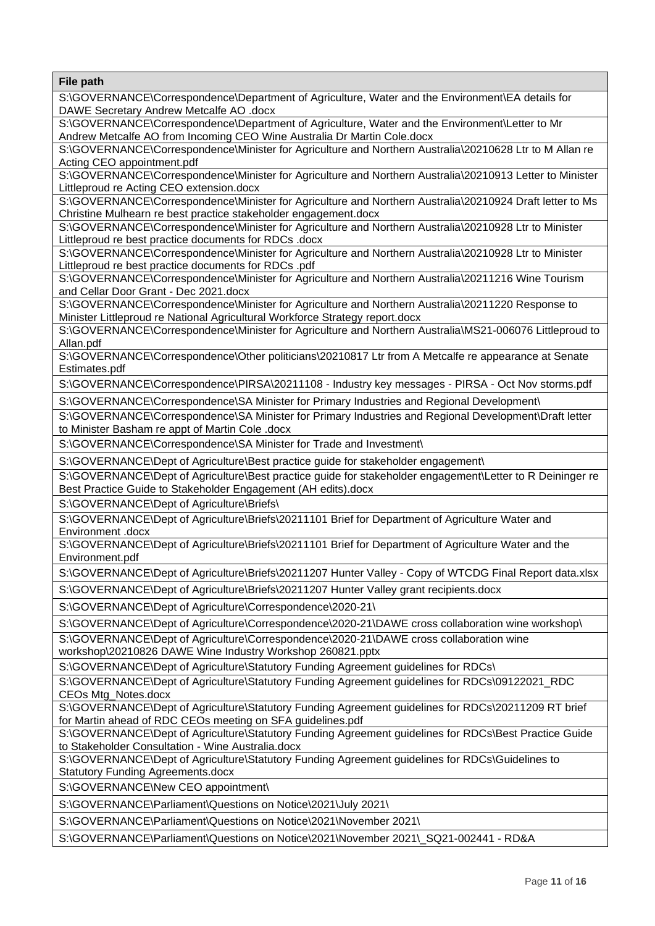S:\GOVERNANCE\Correspondence\Department of Agriculture, Water and the Environment\EA details for DAWE Secretary Andrew Metcalfe AO .docx

S:\GOVERNANCE\Correspondence\Department of Agriculture, Water and the Environment\Letter to Mr Andrew Metcalfe AO from Incoming CEO Wine Australia Dr Martin Cole.docx

S:\GOVERNANCE\Correspondence\Minister for Agriculture and Northern Australia\20210628 Ltr to M Allan re Acting CEO appointment.pdf

S:\GOVERNANCE\Correspondence\Minister for Agriculture and Northern Australia\20210913 Letter to Minister Littleproud re Acting CEO extension.docx

S:\GOVERNANCE\Correspondence\Minister for Agriculture and Northern Australia\20210924 Draft letter to Ms Christine Mulhearn re best practice stakeholder engagement.docx

S:\GOVERNANCE\Correspondence\Minister for Agriculture and Northern Australia\20210928 Ltr to Minister Littleproud re best practice documents for RDCs .docx

S:\GOVERNANCE\Correspondence\Minister for Agriculture and Northern Australia\20210928 Ltr to Minister Littleproud re best practice documents for RDCs .pdf

S:\GOVERNANCE\Correspondence\Minister for Agriculture and Northern Australia\20211216 Wine Tourism and Cellar Door Grant - Dec 2021.docx

S:\GOVERNANCE\Correspondence\Minister for Agriculture and Northern Australia\20211220 Response to Minister Littleproud re National Agricultural Workforce Strategy report.docx

S:\GOVERNANCE\Correspondence\Minister for Agriculture and Northern Australia\MS21-006076 Littleproud to Allan.pdf

S:\GOVERNANCE\Correspondence\Other politicians\20210817 Ltr from A Metcalfe re appearance at Senate Estimates.pdf

S:\GOVERNANCE\Correspondence\PIRSA\20211108 - Industry key messages - PIRSA - Oct Nov storms.pdf

S:\GOVERNANCE\Correspondence\SA Minister for Primary Industries and Regional Development\

S:\GOVERNANCE\Correspondence\SA Minister for Primary Industries and Regional Development\Draft letter to Minister Basham re appt of Martin Cole .docx

S:\GOVERNANCE\Correspondence\SA Minister for Trade and Investment\

S:\GOVERNANCE\Dept of Agriculture\Best practice guide for stakeholder engagement\

S:\GOVERNANCE\Dept of Agriculture\Best practice guide for stakeholder engagement\Letter to R Deininger re Best Practice Guide to Stakeholder Engagement (AH edits).docx

S:\GOVERNANCE\Dept of Agriculture\Briefs\

S:\GOVERNANCE\Dept of Agriculture\Briefs\20211101 Brief for Department of Agriculture Water and Environment .docx

S:\GOVERNANCE\Dept of Agriculture\Briefs\20211101 Brief for Department of Agriculture Water and the Environment.pdf

S:\GOVERNANCE\Dept of Agriculture\Briefs\20211207 Hunter Valley - Copy of WTCDG Final Report data.xlsx

S:\GOVERNANCE\Dept of Agriculture\Briefs\20211207 Hunter Valley grant recipients.docx

S:\GOVERNANCE\Dept of Agriculture\Correspondence\2020-21\

S:\GOVERNANCE\Dept of Agriculture\Correspondence\2020-21\DAWE cross collaboration wine workshop\

S:\GOVERNANCE\Dept of Agriculture\Correspondence\2020-21\DAWE cross collaboration wine workshop\20210826 DAWE Wine Industry Workshop 260821.pptx

S:\GOVERNANCE\Dept of Agriculture\Statutory Funding Agreement guidelines for RDCs\

S:\GOVERNANCE\Dept of Agriculture\Statutory Funding Agreement guidelines for RDCs\09122021\_RDC CEOs Mtg\_Notes.docx

S:\GOVERNANCE\Dept of Agriculture\Statutory Funding Agreement guidelines for RDCs\20211209 RT brief for Martin ahead of RDC CEOs meeting on SFA guidelines.pdf

S:\GOVERNANCE\Dept of Agriculture\Statutory Funding Agreement guidelines for RDCs\Best Practice Guide to Stakeholder Consultation - Wine Australia.docx

S:\GOVERNANCE\Dept of Agriculture\Statutory Funding Agreement guidelines for RDCs\Guidelines to Statutory Funding Agreements.docx

S:\GOVERNANCE\New CEO appointment\

S:\GOVERNANCE\Parliament\Questions on Notice\2021\July 2021\

S:\GOVERNANCE\Parliament\Questions on Notice\2021\November 2021\

S:\GOVERNANCE\Parliament\Questions on Notice\2021\November 2021\\_SQ21-002441 - RD&A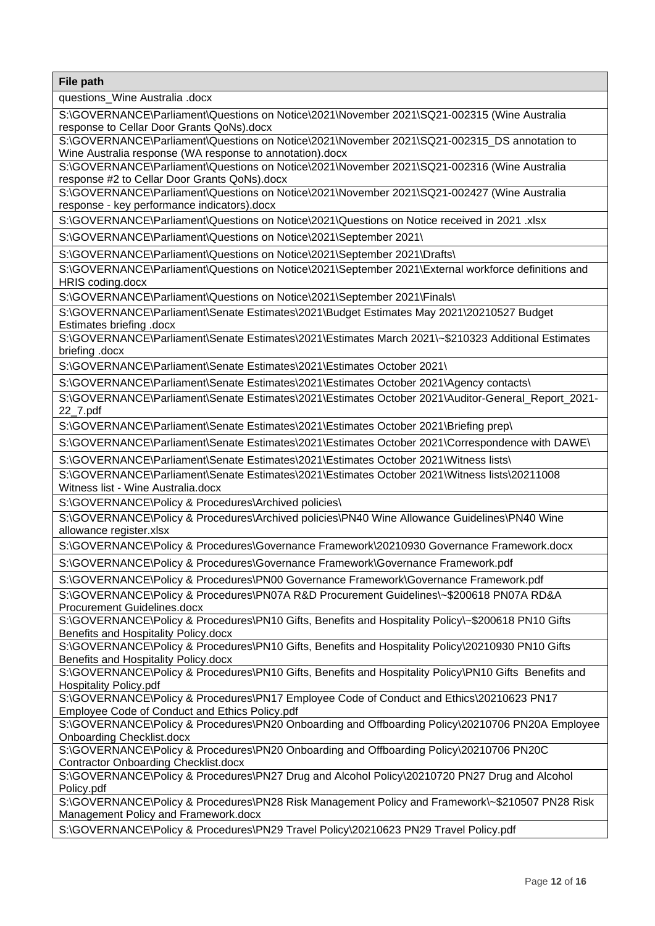questions\_Wine Australia .docx

S:\GOVERNANCE\Parliament\Questions on Notice\2021\November 2021\SQ21-002315 (Wine Australia response to Cellar Door Grants QoNs).docx

S:\GOVERNANCE\Parliament\Questions on Notice\2021\November 2021\SQ21-002315\_DS annotation to Wine Australia response (WA response to annotation).docx

S:\GOVERNANCE\Parliament\Questions on Notice\2021\November 2021\SQ21-002316 (Wine Australia response #2 to Cellar Door Grants QoNs).docx

S:\GOVERNANCE\Parliament\Questions on Notice\2021\November 2021\SQ21-002427 (Wine Australia response - key performance indicators).docx

S:\GOVERNANCE\Parliament\Questions on Notice\2021\Questions on Notice received in 2021 .xlsx

S:\GOVERNANCE\Parliament\Questions on Notice\2021\September 2021\

S:\GOVERNANCE\Parliament\Questions on Notice\2021\September 2021\Drafts\

S:\GOVERNANCE\Parliament\Questions on Notice\2021\September 2021\External workforce definitions and HRIS coding.docx

S:\GOVERNANCE\Parliament\Questions on Notice\2021\September 2021\Finals\

S:\GOVERNANCE\Parliament\Senate Estimates\2021\Budget Estimates May 2021\20210527 Budget Estimates briefing .docx

S:\GOVERNANCE\Parliament\Senate Estimates\2021\Estimates March 2021\~\$210323 Additional Estimates briefing .docx

S:\GOVERNANCE\Parliament\Senate Estimates\2021\Estimates October 2021\

S:\GOVERNANCE\Parliament\Senate Estimates\2021\Estimates October 2021\Agency contacts\

S:\GOVERNANCE\Parliament\Senate Estimates\2021\Estimates October 2021\Auditor-General\_Report\_2021- 22\_7.pdf

S:\GOVERNANCE\Parliament\Senate Estimates\2021\Estimates October 2021\Briefing prep\

S:\GOVERNANCE\Parliament\Senate Estimates\2021\Estimates October 2021\Correspondence with DAWE\

S:\GOVERNANCE\Parliament\Senate Estimates\2021\Estimates October 2021\Witness lists\

S:\GOVERNANCE\Parliament\Senate Estimates\2021\Estimates October 2021\Witness lists\20211008 Witness list - Wine Australia.docx

S:\GOVERNANCE\Policy & Procedures\Archived policies\

S:\GOVERNANCE\Policy & Procedures\Archived policies\PN40 Wine Allowance Guidelines\PN40 Wine allowance register.xlsx

S:\GOVERNANCE\Policy & Procedures\Governance Framework\20210930 Governance Framework.docx

S:\GOVERNANCE\Policy & Procedures\Governance Framework\Governance Framework.pdf

S:\GOVERNANCE\Policy & Procedures\PN00 Governance Framework\Governance Framework.pdf

S:\GOVERNANCE\Policy & Procedures\PN07A R&D Procurement Guidelines\~\$200618 PN07A RD&A Procurement Guidelines.docx

S:\GOVERNANCE\Policy & Procedures\PN10 Gifts, Benefits and Hospitality Policy\~\$200618 PN10 Gifts Benefits and Hospitality Policy.docx

S:\GOVERNANCE\Policy & Procedures\PN10 Gifts, Benefits and Hospitality Policy\20210930 PN10 Gifts Benefits and Hospitality Policy.docx

S:\GOVERNANCE\Policy & Procedures\PN10 Gifts, Benefits and Hospitality Policy\PN10 Gifts Benefits and Hospitality Policy.pdf

S:\GOVERNANCE\Policy & Procedures\PN17 Employee Code of Conduct and Ethics\20210623 PN17 Employee Code of Conduct and Ethics Policy.pdf

S:\GOVERNANCE\Policy & Procedures\PN20 Onboarding and Offboarding Policy\20210706 PN20A Employee Onboarding Checklist.docx

S:\GOVERNANCE\Policy & Procedures\PN20 Onboarding and Offboarding Policy\20210706 PN20C Contractor Onboarding Checklist.docx

S:\GOVERNANCE\Policy & Procedures\PN27 Drug and Alcohol Policy\20210720 PN27 Drug and Alcohol Policy.pdf

S:\GOVERNANCE\Policy & Procedures\PN28 Risk Management Policy and Framework\~\$210507 PN28 Risk Management Policy and Framework.docx

S:\GOVERNANCE\Policy & Procedures\PN29 Travel Policy\20210623 PN29 Travel Policy.pdf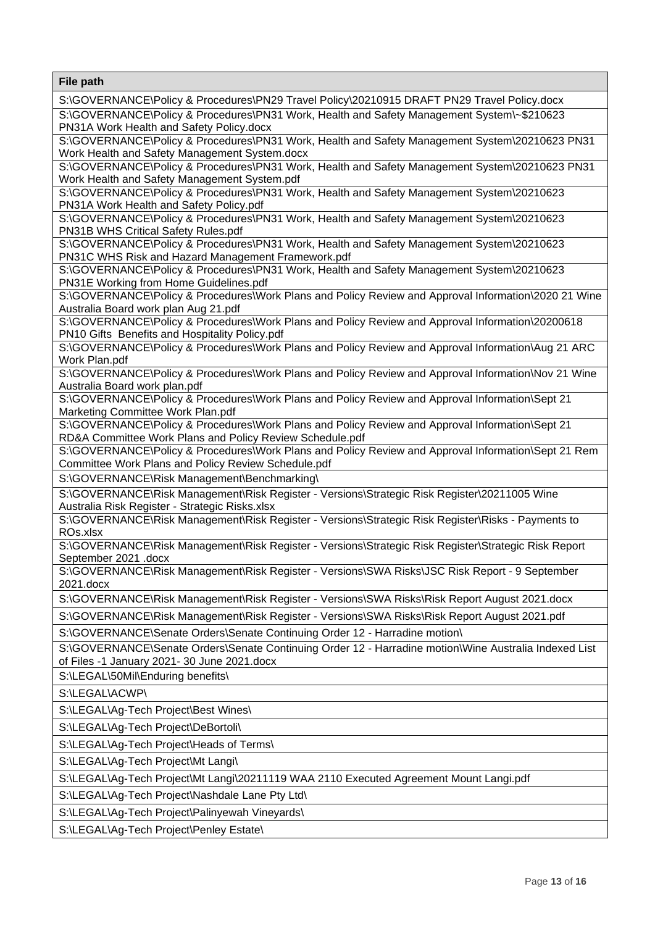**File path**  S:\GOVERNANCE\Policy & Procedures\PN29 Travel Policy\20210915 DRAFT PN29 Travel Policy.docx S:\GOVERNANCE\Policy & Procedures\PN31 Work, Health and Safety Management System\~\$210623 PN31A Work Health and Safety Policy.docx S:\GOVERNANCE\Policy & Procedures\PN31 Work, Health and Safety Management System\20210623 PN31 Work Health and Safety Management System.docx S:\GOVERNANCE\Policy & Procedures\PN31 Work, Health and Safety Management System\20210623 PN31 Work Health and Safety Management System.pdf S:\GOVERNANCE\Policy & Procedures\PN31 Work, Health and Safety Management System\20210623 PN31A Work Health and Safety Policy.pdf S:\GOVERNANCE\Policy & Procedures\PN31 Work, Health and Safety Management System\20210623 PN31B WHS Critical Safety Rules.pdf S:\GOVERNANCE\Policy & Procedures\PN31 Work, Health and Safety Management System\20210623 PN31C WHS Risk and Hazard Management Framework.pdf S:\GOVERNANCE\Policy & Procedures\PN31 Work, Health and Safety Management System\20210623 PN31E Working from Home Guidelines.pdf S:\GOVERNANCE\Policy & Procedures\Work Plans and Policy Review and Approval Information\2020 21 Wine Australia Board work plan Aug 21.pdf S:\GOVERNANCE\Policy & Procedures\Work Plans and Policy Review and Approval Information\20200618 PN10 Gifts Benefits and Hospitality Policy.pdf S:\GOVERNANCE\Policy & Procedures\Work Plans and Policy Review and Approval Information\Aug 21 ARC Work Plan.pdf S:\GOVERNANCE\Policy & Procedures\Work Plans and Policy Review and Approval Information\Nov 21 Wine Australia Board work plan.pdf S:\GOVERNANCE\Policy & Procedures\Work Plans and Policy Review and Approval Information\Sept 21 Marketing Committee Work Plan.pdf S:\GOVERNANCE\Policy & Procedures\Work Plans and Policy Review and Approval Information\Sept 21 RD&A Committee Work Plans and Policy Review Schedule.pdf S:\GOVERNANCE\Policy & Procedures\Work Plans and Policy Review and Approval Information\Sept 21 Rem Committee Work Plans and Policy Review Schedule.pdf S:\GOVERNANCE\Risk Management\Benchmarking\ S:\GOVERNANCE\Risk Management\Risk Register - Versions\Strategic Risk Register\20211005 Wine Australia Risk Register - Strategic Risks.xlsx S:\GOVERNANCE\Risk Management\Risk Register - Versions\Strategic Risk Register\Risks - Payments to ROs.xlsx S:\GOVERNANCE\Risk Management\Risk Register - Versions\Strategic Risk Register\Strategic Risk Report September 2021 .docx S:\GOVERNANCE\Risk Management\Risk Register - Versions\SWA Risks\JSC Risk Report - 9 September 2021.docx S:\GOVERNANCE\Risk Management\Risk Register - Versions\SWA Risks\Risk Report August 2021.docx S:\GOVERNANCE\Risk Management\Risk Register - Versions\SWA Risks\Risk Report August 2021.pdf S:\GOVERNANCE\Senate Orders\Senate Continuing Order 12 - Harradine motion\ S:\GOVERNANCE\Senate Orders\Senate Continuing Order 12 - Harradine motion\Wine Australia Indexed List of Files -1 January 2021- 30 June 2021.docx S:\LEGAL\50Mil\Enduring benefits\ S:\LEGAL\ACWP\ S:\LEGAL\Ag-Tech Project\Best Wines\ S:\LEGAL\Ag-Tech Project\DeBortoli\ S:\LEGAL\Ag-Tech Project\Heads of Terms\ S:\LEGAL\Ag-Tech Project\Mt Langi\ S:\LEGAL\Ag-Tech Project\Mt Langi\20211119 WAA 2110 Executed Agreement Mount Langi.pdf S:\LEGAL\Ag-Tech Project\Nashdale Lane Pty Ltd\ S:\LEGAL\Ag-Tech Project\Palinyewah Vineyards\ S:\LEGAL\Ag-Tech Project\Penley Estate\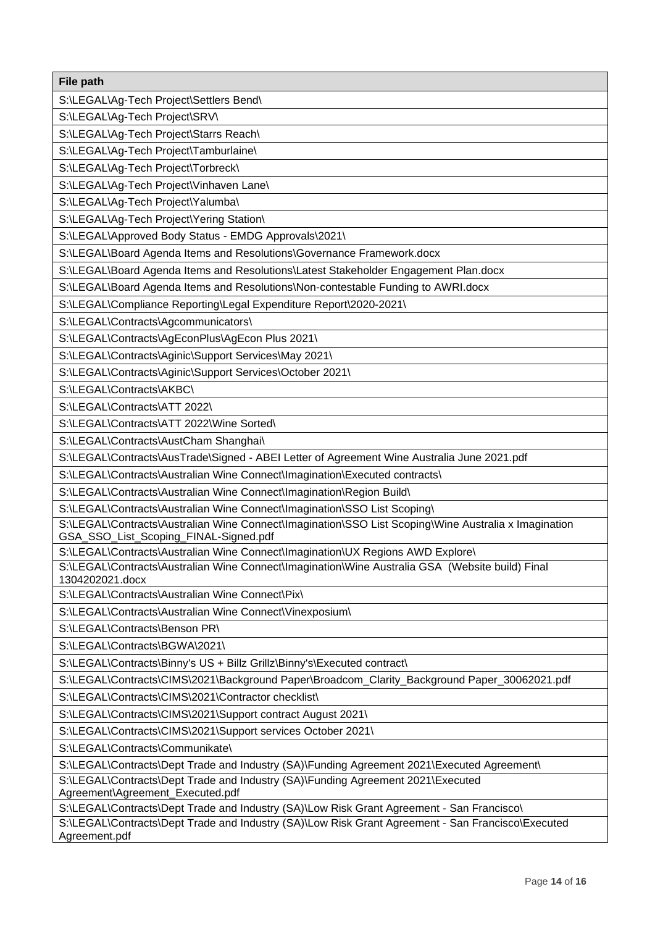**File path**  S:\LEGAL\Ag-Tech Project\Settlers Bend\ S:\LEGAL\Ag-Tech Project\SRV\ S:\LEGAL\Ag-Tech Project\Starrs Reach\ S:\LEGAL\Ag-Tech Project\Tamburlaine\ S:\LEGAL\Ag-Tech Project\Torbreck\ S:\LEGAL\Ag-Tech Project\Vinhaven Lane\ S:\LEGAL\Ag-Tech Project\Yalumba\ S:\LEGAL\Ag-Tech Project\Yering Station\ S:\LEGAL\Approved Body Status - EMDG Approvals\2021\ S:\LEGAL\Board Agenda Items and Resolutions\Governance Framework.docx S:\LEGAL\Board Agenda Items and Resolutions\Latest Stakeholder Engagement Plan.docx S:\LEGAL\Board Agenda Items and Resolutions\Non-contestable Funding to AWRI.docx S:\LEGAL\Compliance Reporting\Legal Expenditure Report\2020-2021\ S:\LEGAL\Contracts\Agcommunicators\ S:\LEGAL\Contracts\AgEconPlus\AgEcon Plus 2021\ S:\LEGAL\Contracts\Aginic\Support Services\May 2021\ S:\LEGAL\Contracts\Aginic\Support Services\October 2021\ S:\LEGAL\Contracts\AKBC\ S:\LEGAL\Contracts\ATT 2022\ S:\LEGAL\Contracts\ATT 2022\Wine Sorted\ S:\LEGAL\Contracts\AustCham Shanghai\ S:\LEGAL\Contracts\AusTrade\Signed - ABEI Letter of Agreement Wine Australia June 2021.pdf S:\LEGAL\Contracts\Australian Wine Connect\Imagination\Executed contracts\ S:\LEGAL\Contracts\Australian Wine Connect\Imagination\Region Build\ S:\LEGAL\Contracts\Australian Wine Connect\Imagination\SSO List Scoping\ S:\LEGAL\Contracts\Australian Wine Connect\Imagination\SSO List Scoping\Wine Australia x Imagination GSA\_SSO\_List\_Scoping\_FINAL-Signed.pdf S:\LEGAL\Contracts\Australian Wine Connect\Imagination\UX Regions AWD Explore\ S:\LEGAL\Contracts\Australian Wine Connect\Imagination\Wine Australia GSA (Website build) Final 1304202021.docx S:\LEGAL\Contracts\Australian Wine Connect\Pix\ S:\LEGAL\Contracts\Australian Wine Connect\Vinexposium\ S:\LEGAL\Contracts\Benson PR\ S:\LEGAL\Contracts\BGWA\2021\ S:\LEGAL\Contracts\Binny's US + Billz Grillz\Binny's\Executed contract\ S:\LEGAL\Contracts\CIMS\2021\Background Paper\Broadcom\_Clarity\_Background Paper\_30062021.pdf S:\LEGAL\Contracts\CIMS\2021\Contractor checklist\ S:\LEGAL\Contracts\CIMS\2021\Support contract August 2021\ S:\LEGAL\Contracts\CIMS\2021\Support services October 2021\ S:\LEGAL\Contracts\Communikate\ S:\LEGAL\Contracts\Dept Trade and Industry (SA)\Funding Agreement 2021\Executed Agreement\ S:\LEGAL\Contracts\Dept Trade and Industry (SA)\Funding Agreement 2021\Executed

Agreement\Agreement\_Executed.pdf

S:\LEGAL\Contracts\Dept Trade and Industry (SA)\Low Risk Grant Agreement - San Francisco\

S:\LEGAL\Contracts\Dept Trade and Industry (SA)\Low Risk Grant Agreement - San Francisco\Executed Agreement.pdf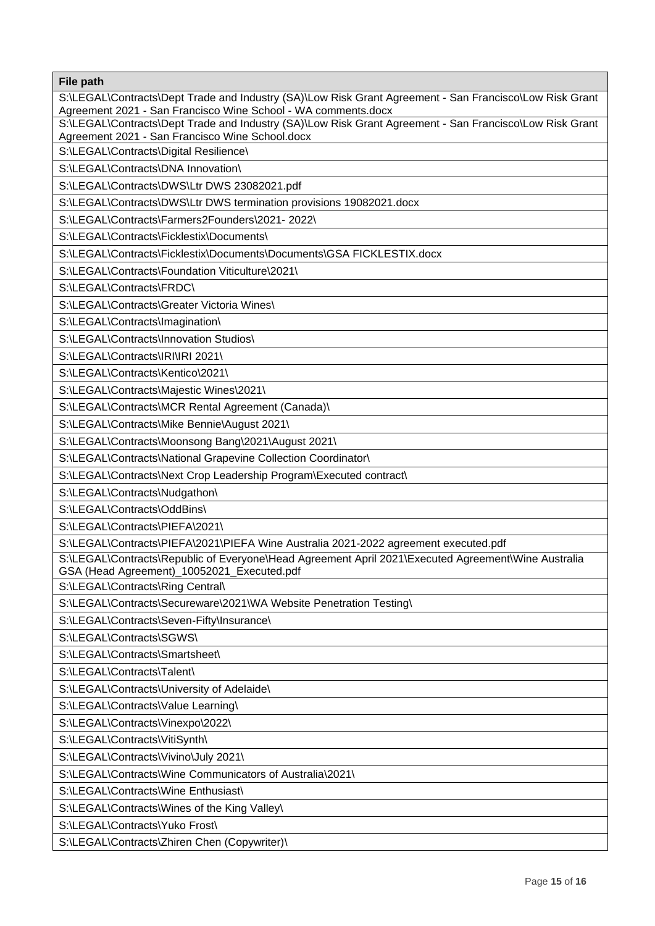**File path**  S:\LEGAL\Contracts\Dept Trade and Industry (SA)\Low Risk Grant Agreement - San Francisco\Low Risk Grant Agreement 2021 - San Francisco Wine School - WA comments.docx S:\LEGAL\Contracts\Dept Trade and Industry (SA)\Low Risk Grant Agreement - San Francisco\Low Risk Grant Agreement 2021 - San Francisco Wine School.docx S:\LEGAL\Contracts\Digital Resilience\ S:\LEGAL\Contracts\DNA Innovation\ S:\LEGAL\Contracts\DWS\Ltr DWS 23082021.pdf S:\LEGAL\Contracts\DWS\Ltr DWS termination provisions 19082021.docx S:\LEGAL\Contracts\Farmers2Founders\2021- 2022\ S:\LEGAL\Contracts\Ficklestix\Documents\ S:\LEGAL\Contracts\Ficklestix\Documents\Documents\GSA FICKLESTIX.docx S:\LEGAL\Contracts\Foundation Viticulture\2021\ S:\LEGAL\Contracts\FRDC\ S:\LEGAL\Contracts\Greater Victoria Wines\ S:\LEGAL\Contracts\Imagination\ S:\LEGAL\Contracts\Innovation Studios\ S:\LEGAL\Contracts\IRI\IRI 2021\ S:\LEGAL\Contracts\Kentico\2021\ S:\LEGAL\Contracts\Majestic Wines\2021\ S:\LEGAL\Contracts\MCR Rental Agreement (Canada)\ S:\LEGAL\Contracts\Mike Bennie\August 2021\ S:\LEGAL\Contracts\Moonsong Bang\2021\August 2021\ S:\LEGAL\Contracts\National Grapevine Collection Coordinator\ S:\LEGAL\Contracts\Next Crop Leadership Program\Executed contract\ S:\LEGAL\Contracts\Nudgathon\ S:\LEGAL\Contracts\OddBins\ S:\LEGAL\Contracts\PIEFA\2021\ S:\LEGAL\Contracts\PIEFA\2021\PIEFA Wine Australia 2021-2022 agreement executed.pdf S:\LEGAL\Contracts\Republic of Everyone\Head Agreement April 2021\Executed Agreement\Wine Australia GSA (Head Agreement)\_10052021\_Executed.pdf S:\LEGAL\Contracts\Ring Central\ S:\LEGAL\Contracts\Secureware\2021\WA Website Penetration Testing\ S:\LEGAL\Contracts\Seven-Fifty\Insurance\ S:\LEGAL\Contracts\SGWS\ S:\LEGAL\Contracts\Smartsheet\ S:\LEGAL\Contracts\Talent\ S:\LEGAL\Contracts\University of Adelaide\ S:\LEGAL\Contracts\Value Learning\ S:\LEGAL\Contracts\Vinexpo\2022\ S:\LEGAL\Contracts\VitiSynth\ S:\LEGAL\Contracts\Vivino\July 2021\ S:\LEGAL\Contracts\Wine Communicators of Australia\2021\ S:\LEGAL\Contracts\Wine Enthusiast\ S:\LEGAL\Contracts\Wines of the King Valley\ S:\LEGAL\Contracts\Yuko Frost\ S:\LEGAL\Contracts\Zhiren Chen (Copywriter)\